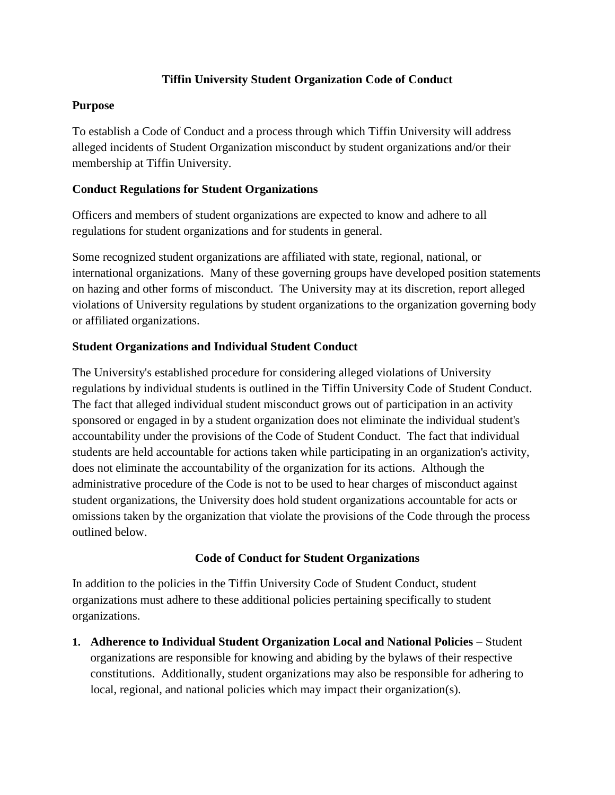### **Tiffin University Student Organization Code of Conduct**

### **Purpose**

To establish a Code of Conduct and a process through which Tiffin University will address alleged incidents of Student Organization misconduct by student organizations and/or their membership at Tiffin University.

### **Conduct Regulations for Student Organizations**

Officers and members of student organizations are expected to know and adhere to all regulations for student organizations and for students in general.

Some recognized student organizations are affiliated with state, regional, national, or international organizations. Many of these governing groups have developed position statements on hazing and other forms of misconduct. The University may at its discretion, report alleged violations of University regulations by student organizations to the organization governing body or affiliated organizations.

### **Student Organizations and Individual Student Conduct**

The University's established procedure for considering alleged violations of University regulations by individual students is outlined in the Tiffin University Code of Student Conduct. The fact that alleged individual student misconduct grows out of participation in an activity sponsored or engaged in by a student organization does not eliminate the individual student's accountability under the provisions of the Code of Student Conduct. The fact that individual students are held accountable for actions taken while participating in an organization's activity, does not eliminate the accountability of the organization for its actions. Although the administrative procedure of the Code is not to be used to hear charges of misconduct against student organizations, the University does hold student organizations accountable for acts or omissions taken by the organization that violate the provisions of the Code through the process outlined below.

# **Code of Conduct for Student Organizations**

In addition to the policies in the Tiffin University Code of Student Conduct, student organizations must adhere to these additional policies pertaining specifically to student organizations.

**1. Adherence to Individual Student Organization Local and National Policies** – Student organizations are responsible for knowing and abiding by the bylaws of their respective constitutions. Additionally, student organizations may also be responsible for adhering to local, regional, and national policies which may impact their organization(s).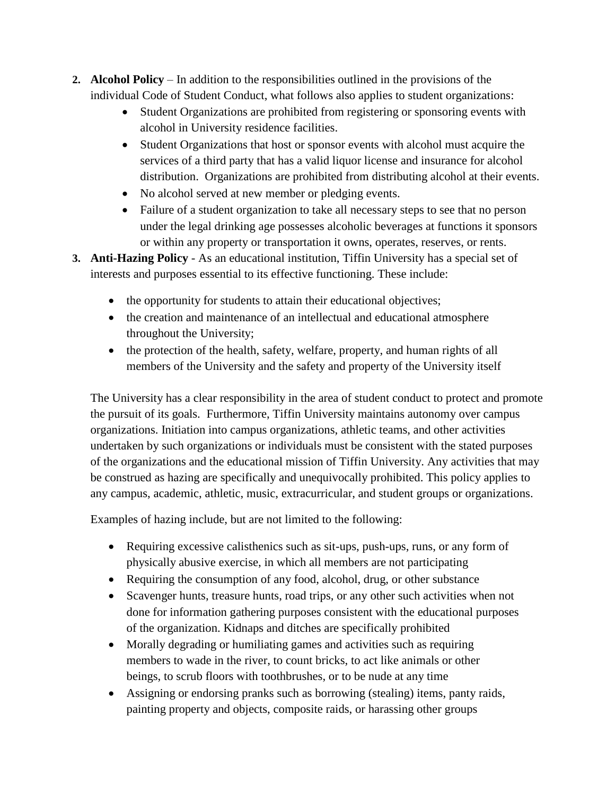- **2. Alcohol Policy** In addition to the responsibilities outlined in the provisions of the individual Code of Student Conduct, what follows also applies to student organizations:
	- Student Organizations are prohibited from registering or sponsoring events with alcohol in University residence facilities.
	- Student Organizations that host or sponsor events with alcohol must acquire the services of a third party that has a valid liquor license and insurance for alcohol distribution. Organizations are prohibited from distributing alcohol at their events.
	- No alcohol served at new member or pledging events.
	- Failure of a student organization to take all necessary steps to see that no person under the legal drinking age possesses alcoholic beverages at functions it sponsors or within any property or transportation it owns, operates, reserves, or rents.
- **3. Anti-Hazing Policy** As an educational institution, Tiffin University has a special set of interests and purposes essential to its effective functioning. These include:
	- the opportunity for students to attain their educational objectives;
	- the creation and maintenance of an intellectual and educational atmosphere throughout the University;
	- the protection of the health, safety, welfare, property, and human rights of all members of the University and the safety and property of the University itself

The University has a clear responsibility in the area of student conduct to protect and promote the pursuit of its goals. Furthermore, Tiffin University maintains autonomy over campus organizations. Initiation into campus organizations, athletic teams, and other activities undertaken by such organizations or individuals must be consistent with the stated purposes of the organizations and the educational mission of Tiffin University. Any activities that may be construed as hazing are specifically and unequivocally prohibited. This policy applies to any campus, academic, athletic, music, extracurricular, and student groups or organizations.

Examples of hazing include, but are not limited to the following:

- Requiring excessive calisthenics such as sit-ups, push-ups, runs, or any form of physically abusive exercise, in which all members are not participating
- Requiring the consumption of any food, alcohol, drug, or other substance
- Scavenger hunts, treasure hunts, road trips, or any other such activities when not done for information gathering purposes consistent with the educational purposes of the organization. Kidnaps and ditches are specifically prohibited
- Morally degrading or humiliating games and activities such as requiring members to wade in the river, to count bricks, to act like animals or other beings, to scrub floors with toothbrushes, or to be nude at any time
- Assigning or endorsing pranks such as borrowing (stealing) items, panty raids, painting property and objects, composite raids, or harassing other groups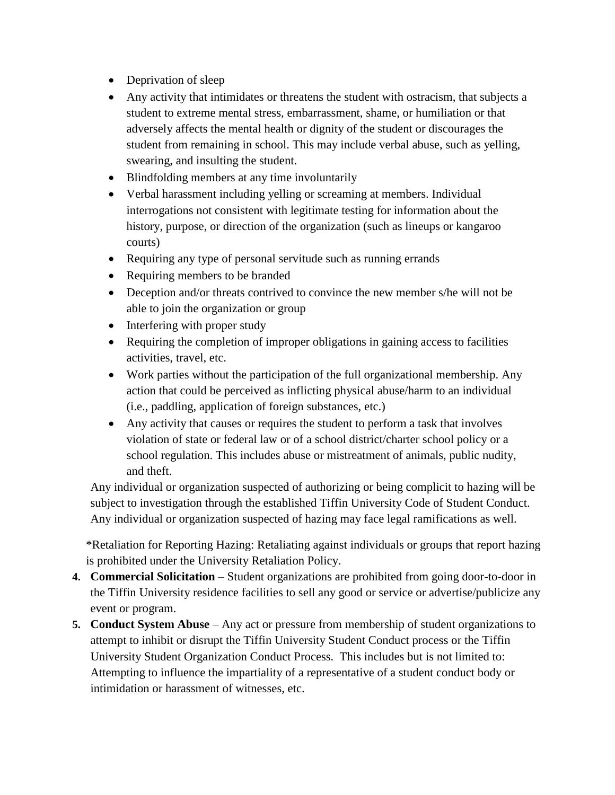- Deprivation of sleep
- Any activity that intimidates or threatens the student with ostracism, that subjects a student to extreme mental stress, embarrassment, shame, or humiliation or that adversely affects the mental health or dignity of the student or discourages the student from remaining in school. This may include verbal abuse, such as yelling, swearing, and insulting the student.
- Blindfolding members at any time involuntarily
- Verbal harassment including yelling or screaming at members. Individual interrogations not consistent with legitimate testing for information about the history, purpose, or direction of the organization (such as lineups or kangaroo courts)
- Requiring any type of personal servitude such as running errands
- Requiring members to be branded
- Deception and/or threats contrived to convince the new member s/he will not be able to join the organization or group
- Interfering with proper study
- Requiring the completion of improper obligations in gaining access to facilities activities, travel, etc.
- Work parties without the participation of the full organizational membership. Any action that could be perceived as inflicting physical abuse/harm to an individual (i.e., paddling, application of foreign substances, etc.)
- Any activity that causes or requires the student to perform a task that involves violation of state or federal law or of a school district/charter school policy or a school regulation. This includes abuse or mistreatment of animals, public nudity, and theft.

Any individual or organization suspected of authorizing or being complicit to hazing will be subject to investigation through the established Tiffin University Code of Student Conduct. Any individual or organization suspected of hazing may face legal ramifications as well.

\*Retaliation for Reporting Hazing: Retaliating against individuals or groups that report hazing is prohibited under the University Retaliation Policy.

- **4. Commercial Solicitation** Student organizations are prohibited from going door-to-door in the Tiffin University residence facilities to sell any good or service or advertise/publicize any event or program.
- **5. Conduct System Abuse** Any act or pressure from membership of student organizations to attempt to inhibit or disrupt the Tiffin University Student Conduct process or the Tiffin University Student Organization Conduct Process. This includes but is not limited to: Attempting to influence the impartiality of a representative of a student conduct body or intimidation or harassment of witnesses, etc.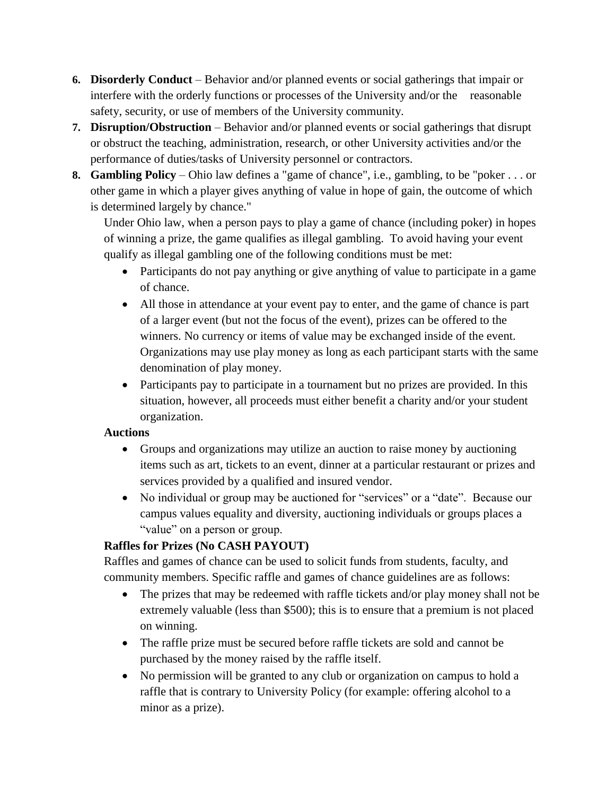- **6. Disorderly Conduct** Behavior and/or planned events or social gatherings that impair or interfere with the orderly functions or processes of the University and/or the reasonable safety, security, or use of members of the University community.
- **7. Disruption/Obstruction** Behavior and/or planned events or social gatherings that disrupt or obstruct the teaching, administration, research, or other University activities and/or the performance of duties/tasks of University personnel or contractors.
- **8. Gambling Policy** Ohio law defines a "game of chance", i.e., gambling, to be "poker . . . or other game in which a player gives anything of value in hope of gain, the outcome of which is determined largely by chance."

Under Ohio law, when a person pays to play a game of chance (including poker) in hopes of winning a prize, the game qualifies as illegal gambling. To avoid having your event qualify as illegal gambling one of the following conditions must be met:

- Participants do not pay anything or give anything of value to participate in a game of chance.
- All those in attendance at your event pay to enter, and the game of chance is part of a larger event (but not the focus of the event), prizes can be offered to the winners. No currency or items of value may be exchanged inside of the event. Organizations may use play money as long as each participant starts with the same denomination of play money.
- Participants pay to participate in a tournament but no prizes are provided. In this situation, however, all proceeds must either benefit a charity and/or your student organization.

#### **Auctions**

- Groups and organizations may utilize an auction to raise money by auctioning items such as art, tickets to an event, dinner at a particular restaurant or prizes and services provided by a qualified and insured vendor.
- No individual or group may be auctioned for "services" or a "date". Because our campus values equality and diversity, auctioning individuals or groups places a "value" on a person or group.

# **Raffles for Prizes (No CASH PAYOUT)**

Raffles and games of chance can be used to solicit funds from students, faculty, and community members. Specific raffle and games of chance guidelines are as follows:

- The prizes that may be redeemed with raffle tickets and/or play money shall not be extremely valuable (less than \$500); this is to ensure that a premium is not placed on winning.
- The raffle prize must be secured before raffle tickets are sold and cannot be purchased by the money raised by the raffle itself.
- No permission will be granted to any club or organization on campus to hold a raffle that is contrary to University Policy (for example: offering alcohol to a minor as a prize).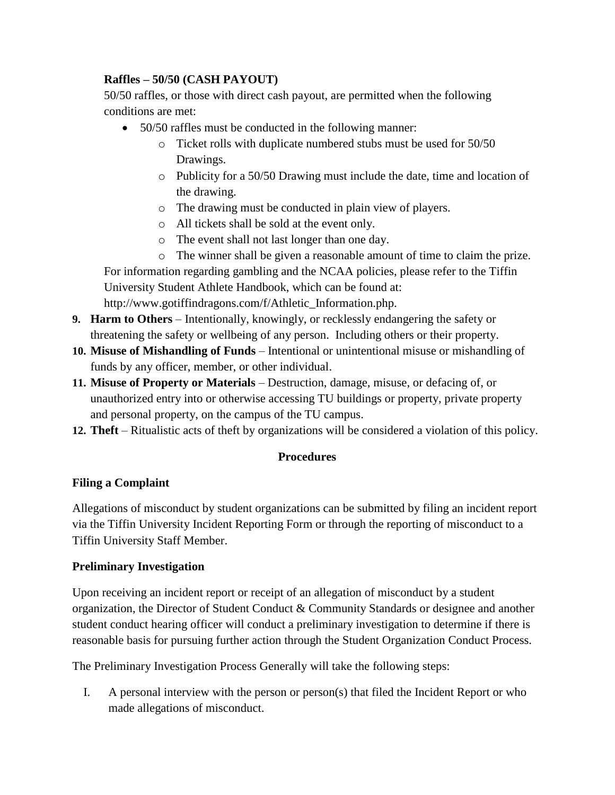# **Raffles – 50/50 (CASH PAYOUT)**

50/50 raffles, or those with direct cash payout, are permitted when the following conditions are met:

- 50/50 raffles must be conducted in the following manner:
	- o Ticket rolls with duplicate numbered stubs must be used for 50/50 Drawings.
	- o Publicity for a 50/50 Drawing must include the date, time and location of the drawing.
	- o The drawing must be conducted in plain view of players.
	- o All tickets shall be sold at the event only.
	- o The event shall not last longer than one day.
	- o The winner shall be given a reasonable amount of time to claim the prize.

For information regarding gambling and the NCAA policies, please refer to the Tiffin University Student Athlete Handbook, which can be found at: http://www.gotiffindragons.com/f/Athletic\_Information.php.

- **9. Harm to Others** Intentionally, knowingly, or recklessly endangering the safety or threatening the safety or wellbeing of any person. Including others or their property.
- **10. Misuse of Mishandling of Funds** Intentional or unintentional misuse or mishandling of funds by any officer, member, or other individual.
- **11. Misuse of Property or Materials** Destruction, damage, misuse, or defacing of, or unauthorized entry into or otherwise accessing TU buildings or property, private property and personal property, on the campus of the TU campus.
- **12. Theft** Ritualistic acts of theft by organizations will be considered a violation of this policy.

#### **Procedures**

#### **Filing a Complaint**

Allegations of misconduct by student organizations can be submitted by filing an incident report via the Tiffin University Incident Reporting Form or through the reporting of misconduct to a Tiffin University Staff Member.

#### **Preliminary Investigation**

Upon receiving an incident report or receipt of an allegation of misconduct by a student organization, the Director of Student Conduct & Community Standards or designee and another student conduct hearing officer will conduct a preliminary investigation to determine if there is reasonable basis for pursuing further action through the Student Organization Conduct Process.

The Preliminary Investigation Process Generally will take the following steps:

I. A personal interview with the person or person(s) that filed the Incident Report or who made allegations of misconduct.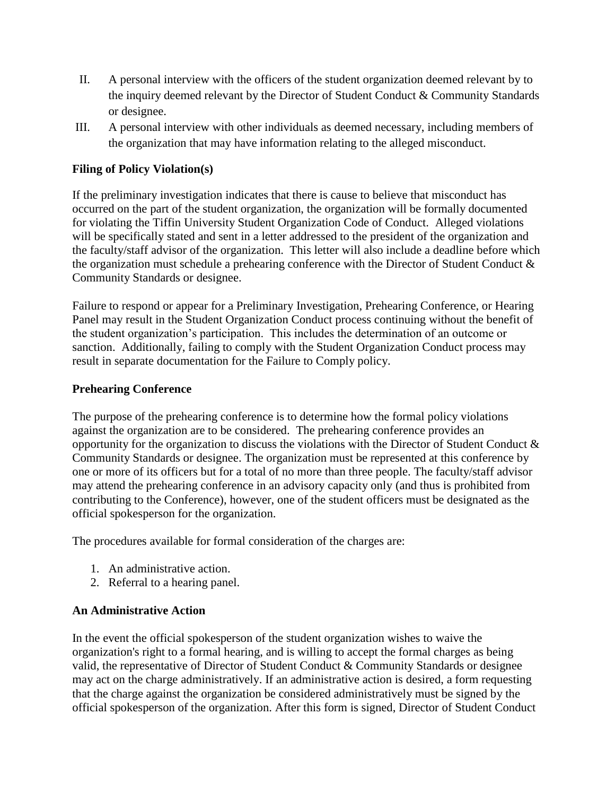- II. A personal interview with the officers of the student organization deemed relevant by to the inquiry deemed relevant by the Director of Student Conduct & Community Standards or designee.
- III. A personal interview with other individuals as deemed necessary, including members of the organization that may have information relating to the alleged misconduct.

### **Filing of Policy Violation(s)**

If the preliminary investigation indicates that there is cause to believe that misconduct has occurred on the part of the student organization, the organization will be formally documented for violating the Tiffin University Student Organization Code of Conduct. Alleged violations will be specifically stated and sent in a letter addressed to the president of the organization and the faculty/staff advisor of the organization. This letter will also include a deadline before which the organization must schedule a prehearing conference with the Director of Student Conduct & Community Standards or designee.

Failure to respond or appear for a Preliminary Investigation, Prehearing Conference, or Hearing Panel may result in the Student Organization Conduct process continuing without the benefit of the student organization's participation. This includes the determination of an outcome or sanction. Additionally, failing to comply with the Student Organization Conduct process may result in separate documentation for the Failure to Comply policy.

#### **Prehearing Conference**

The purpose of the prehearing conference is to determine how the formal policy violations against the organization are to be considered. The prehearing conference provides an opportunity for the organization to discuss the violations with the Director of Student Conduct & Community Standards or designee. The organization must be represented at this conference by one or more of its officers but for a total of no more than three people. The faculty/staff advisor may attend the prehearing conference in an advisory capacity only (and thus is prohibited from contributing to the Conference), however, one of the student officers must be designated as the official spokesperson for the organization.

The procedures available for formal consideration of the charges are:

- 1. An administrative action.
- 2. Referral to a hearing panel.

#### **An Administrative Action**

In the event the official spokesperson of the student organization wishes to waive the organization's right to a formal hearing, and is willing to accept the formal charges as being valid, the representative of Director of Student Conduct & Community Standards or designee may act on the charge administratively. If an administrative action is desired, a form requesting that the charge against the organization be considered administratively must be signed by the official spokesperson of the organization. After this form is signed, Director of Student Conduct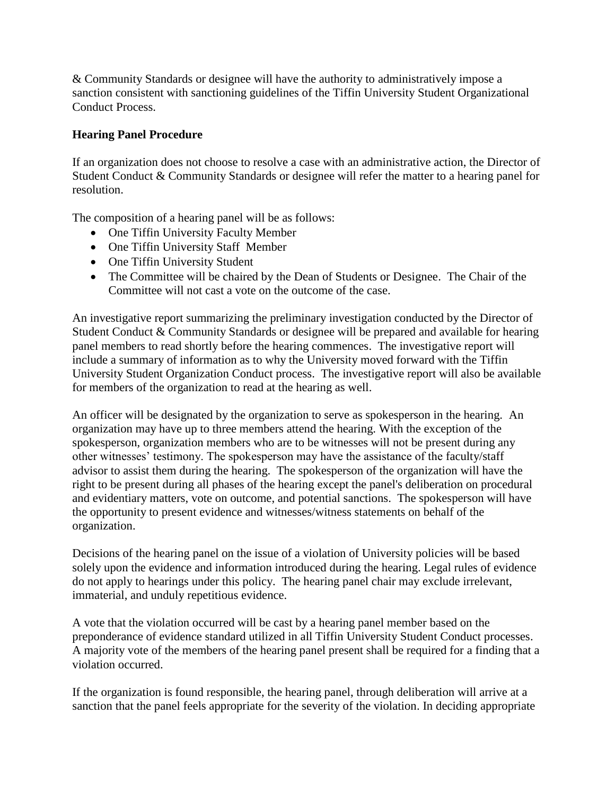& Community Standards or designee will have the authority to administratively impose a sanction consistent with sanctioning guidelines of the Tiffin University Student Organizational Conduct Process.

### **Hearing Panel Procedure**

If an organization does not choose to resolve a case with an administrative action, the Director of Student Conduct & Community Standards or designee will refer the matter to a hearing panel for resolution.

The composition of a hearing panel will be as follows:

- One Tiffin University Faculty Member
- One Tiffin University Staff Member
- One Tiffin University Student
- The Committee will be chaired by the Dean of Students or Designee. The Chair of the Committee will not cast a vote on the outcome of the case.

An investigative report summarizing the preliminary investigation conducted by the Director of Student Conduct & Community Standards or designee will be prepared and available for hearing panel members to read shortly before the hearing commences. The investigative report will include a summary of information as to why the University moved forward with the Tiffin University Student Organization Conduct process. The investigative report will also be available for members of the organization to read at the hearing as well.

An officer will be designated by the organization to serve as spokesperson in the hearing. An organization may have up to three members attend the hearing. With the exception of the spokesperson, organization members who are to be witnesses will not be present during any other witnesses' testimony. The spokesperson may have the assistance of the faculty/staff advisor to assist them during the hearing. The spokesperson of the organization will have the right to be present during all phases of the hearing except the panel's deliberation on procedural and evidentiary matters, vote on outcome, and potential sanctions. The spokesperson will have the opportunity to present evidence and witnesses/witness statements on behalf of the organization.

Decisions of the hearing panel on the issue of a violation of University policies will be based solely upon the evidence and information introduced during the hearing. Legal rules of evidence do not apply to hearings under this policy. The hearing panel chair may exclude irrelevant, immaterial, and unduly repetitious evidence.

A vote that the violation occurred will be cast by a hearing panel member based on the preponderance of evidence standard utilized in all Tiffin University Student Conduct processes. A majority vote of the members of the hearing panel present shall be required for a finding that a violation occurred.

If the organization is found responsible, the hearing panel, through deliberation will arrive at a sanction that the panel feels appropriate for the severity of the violation. In deciding appropriate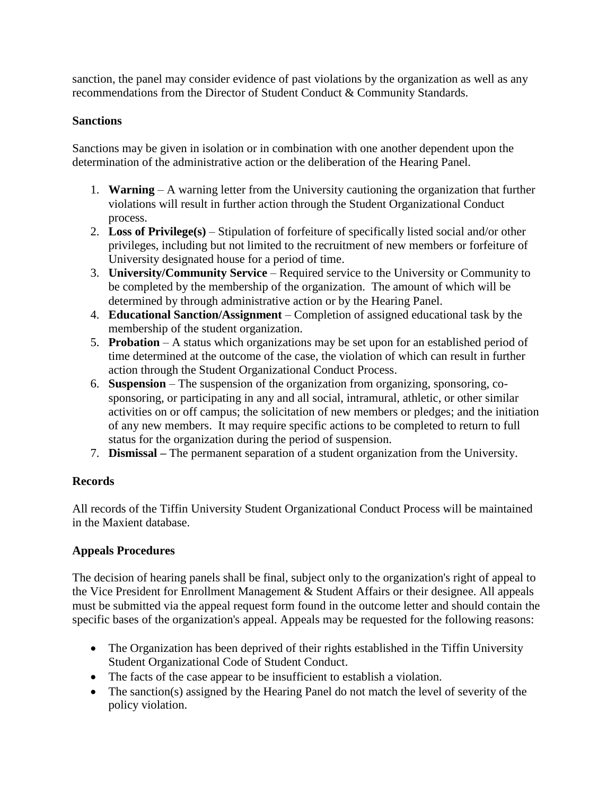sanction, the panel may consider evidence of past violations by the organization as well as any recommendations from the Director of Student Conduct & Community Standards.

### **Sanctions**

Sanctions may be given in isolation or in combination with one another dependent upon the determination of the administrative action or the deliberation of the Hearing Panel.

- 1. **Warning** A warning letter from the University cautioning the organization that further violations will result in further action through the Student Organizational Conduct process.
- 2. **Loss of Privilege(s)** Stipulation of forfeiture of specifically listed social and/or other privileges, including but not limited to the recruitment of new members or forfeiture of University designated house for a period of time.
- 3. **University/Community Service** Required service to the University or Community to be completed by the membership of the organization. The amount of which will be determined by through administrative action or by the Hearing Panel.
- 4. **Educational Sanction/Assignment** Completion of assigned educational task by the membership of the student organization.
- 5. **Probation** A status which organizations may be set upon for an established period of time determined at the outcome of the case, the violation of which can result in further action through the Student Organizational Conduct Process.
- 6. **Suspension**  The suspension of the organization from organizing, sponsoring, cosponsoring, or participating in any and all social, intramural, athletic, or other similar activities on or off campus; the solicitation of new members or pledges; and the initiation of any new members. It may require specific actions to be completed to return to full status for the organization during the period of suspension.
- 7. **Dismissal –** The permanent separation of a student organization from the University.

# **Records**

All records of the Tiffin University Student Organizational Conduct Process will be maintained in the Maxient database.

# **Appeals Procedures**

The decision of hearing panels shall be final, subject only to the organization's right of appeal to the Vice President for Enrollment Management & Student Affairs or their designee. All appeals must be submitted via the appeal request form found in the outcome letter and should contain the specific bases of the organization's appeal. Appeals may be requested for the following reasons:

- The Organization has been deprived of their rights established in the Tiffin University Student Organizational Code of Student Conduct.
- The facts of the case appear to be insufficient to establish a violation.
- The sanction(s) assigned by the Hearing Panel do not match the level of severity of the policy violation.